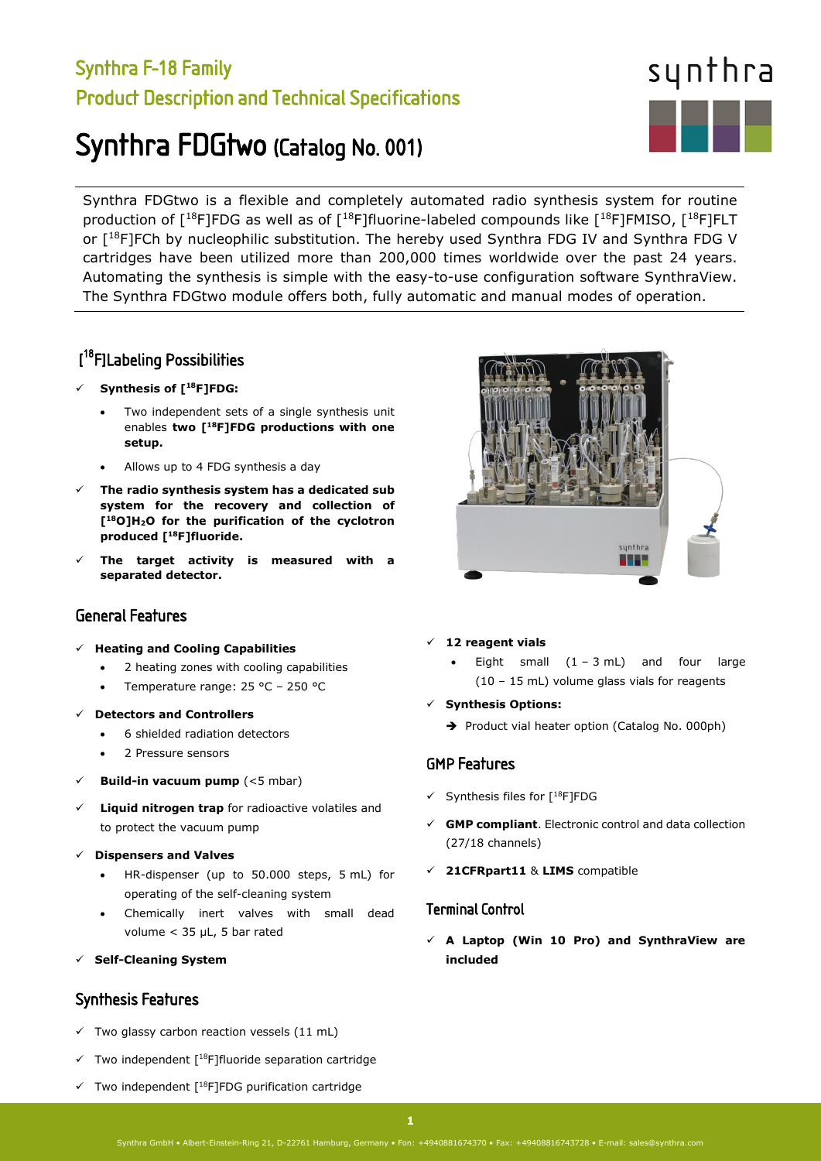## Synthra F-18 Family Product Description and Technical Specifications

# Synthra FDGtwo (Catalog No. 001)

synthra

Synthra FDGtwo is a flexible and completely automated radio synthesis system for routine production of  $[18F]$ FDG as well as of  $[18F]$ fluorine-labeled compounds like  $[18F]$ FMISO,  $[18F]$ FLT or [18F]FCh by nucleophilic substitution. The hereby used Synthra FDG IV and Synthra FDG V cartridges have been utilized more than 200,000 times worldwide over the past 24 years. Automating the synthesis is simple with the easy-to-use configuration software SynthraView. The Synthra FDGtwo module offers both, fully automatic and manual modes of operation.

## [ 18F]Labeling Possibilities

- **Synthesis of [18F]FDG:**
	- Two independent sets of a single synthesis unit enables **two [18F]FDG productions with one setup.**
	- Allows up to 4 FDG synthesis a day
- **The radio synthesis system has a dedicated sub system for the recovery and collection of [18O]H2O for the purification of the cyclotron produced [18F]fluoride.**
- **The target activity is measured with a separated detector.**

### General Features

- **Heating and Cooling Capabilities**
	- 2 heating zones with cooling capabilities
	- Temperature range: 25 °C 250 °C
- **Detectors and Controllers**
	- 6 shielded radiation detectors
	- 2 Pressure sensors
- **Build-in vacuum pump** (<5 mbar)
- **Liquid nitrogen trap** for radioactive volatiles and to protect the vacuum pump
- **Dispensers and Valves**
	- HR-dispenser (up to 50.000 steps, 5 mL) for operating of the self-cleaning system
	- Chemically inert valves with small dead volume < 35 µL, 5 bar rated
- **Self-Cleaning System**

### Synthesis Features

- $\checkmark$  Two glassy carbon reaction vessels (11 mL)
- $\checkmark$  Two independent [<sup>18</sup>F]fluoride separation cartridge
- $\checkmark$  Two independent [<sup>18</sup>F]FDG purification cartridge



#### **12 reagent vials**

- Eight small  $(1 3 mL)$  and four large (10 – 15 mL) volume glass vials for reagents
- **Synthesis Options:** 
	- Product vial heater option (Catalog No. 000ph)

### GMP Features

- $\checkmark$  Synthesis files for  $[18F]$ FDG
- **GMP compliant**. Electronic control and data collection (27/18 channels)
- **21CFRpart11** & **LIMS** compatible

#### Terminal Control

 **A Laptop (Win 10 Pro) and SynthraView are included**